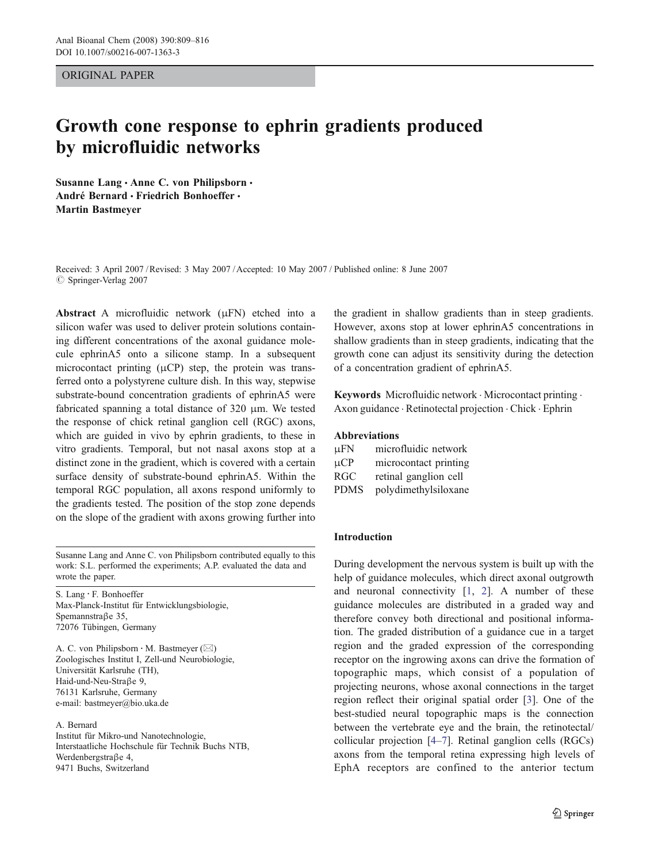## ORIGINAL PAPER

# Growth cone response to ephrin gradients produced by microfluidic networks

Susanne Lang · Anne C. von Philipsborn · André Bernard · Friedrich Bonhoeffer · Martin Bastmeyer

Received: 3 April 2007 /Revised: 3 May 2007 /Accepted: 10 May 2007 / Published online: 8 June 2007  $\oslash$  Springer-Verlag 2007

Abstract A microfluidic network (μFN) etched into a silicon wafer was used to deliver protein solutions containing different concentrations of the axonal guidance molecule ephrinA5 onto a silicone stamp. In a subsequent microcontact printing  $(\mu CP)$  step, the protein was transferred onto a polystyrene culture dish. In this way, stepwise substrate-bound concentration gradients of ephrinA5 were fabricated spanning a total distance of 320 μm. We tested the response of chick retinal ganglion cell (RGC) axons, which are guided in vivo by ephrin gradients, to these in vitro gradients. Temporal, but not nasal axons stop at a distinct zone in the gradient, which is covered with a certain surface density of substrate-bound ephrinA5. Within the temporal RGC population, all axons respond uniformly to the gradients tested. The position of the stop zone depends on the slope of the gradient with axons growing further into

Susanne Lang and Anne C. von Philipsborn contributed equally to this work: S.L. performed the experiments; A.P. evaluated the data and wrote the paper.

S. Lang : F. Bonhoeffer Max-Planck-Institut für Entwicklungsbiologie, Spemannstraβe 35, 72076 Tübingen, Germany

A. C. von Philipsborn · M. Bastmeyer ( $\boxtimes$ ) Zoologisches Institut I, Zell-und Neurobiologie, Universität Karlsruhe (TH), Haid-und-Neu-Straβe 9, 76131 Karlsruhe, Germany e-mail: bastmeyer@bio.uka.de

#### A. Bernard

Institut für Mikro-und Nanotechnologie, Interstaatliche Hochschule für Technik Buchs NTB, Werdenbergstraβe 4, 9471 Buchs, Switzerland

the gradient in shallow gradients than in steep gradients. However, axons stop at lower ephrinA5 concentrations in shallow gradients than in steep gradients, indicating that the growth cone can adjust its sensitivity during the detection of a concentration gradient of ephrinA5.

Keywords Microfluidic network · Microcontact printing · Axon guidance . Retinotectal projection . Chick . Ephrin

# Abbreviations

| $\mu$ FN    | microfluidic network  |
|-------------|-----------------------|
| $\mu CP$    | microcontact printing |
| <b>RGC</b>  | retinal ganglion cell |
| <b>PDMS</b> | polydimethylsiloxane  |

## Introduction

During development the nervous system is built up with the help of guidance molecules, which direct axonal outgrowth and neuronal connectivity [[1,](#page-6-0) [2](#page-6-0)]. A number of these guidance molecules are distributed in a graded way and therefore convey both directional and positional information. The graded distribution of a guidance cue in a target region and the graded expression of the corresponding receptor on the ingrowing axons can drive the formation of topographic maps, which consist of a population of projecting neurons, whose axonal connections in the target region reflect their original spatial order [[3\]](#page-6-0). One of the best-studied neural topographic maps is the connection between the vertebrate eye and the brain, the retinotectal/ collicular projection [[4](#page-6-0)–[7\]](#page-6-0). Retinal ganglion cells (RGCs) axons from the temporal retina expressing high levels of EphA receptors are confined to the anterior tectum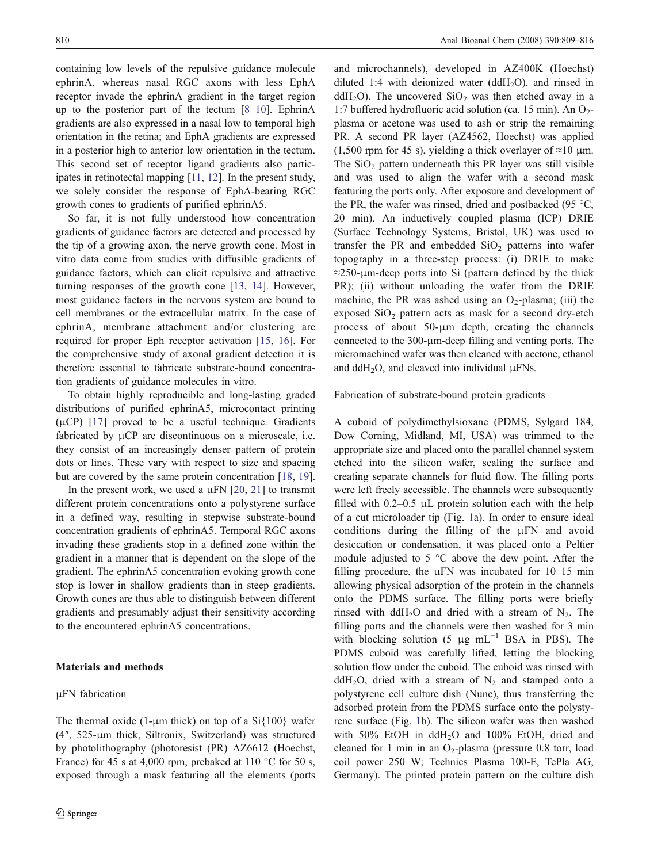<span id="page-1-0"></span>containing low levels of the repulsive guidance molecule ephrinA, whereas nasal RGC axons with less EphA receptor invade the ephrinA gradient in the target region up to the posterior part of the tectum [\[8](#page-6-0)–[10](#page-6-0)]. EphrinA gradients are also expressed in a nasal low to temporal high orientation in the retina; and EphA gradients are expressed in a posterior high to anterior low orientation in the tectum. This second set of receptor–ligand gradients also participates in retinotectal mapping [\[11,](#page-6-0) [12](#page-6-0)]. In the present study, we solely consider the response of EphA-bearing RGC growth cones to gradients of purified ephrinA5.

So far, it is not fully understood how concentration gradients of guidance factors are detected and processed by the tip of a growing axon, the nerve growth cone. Most in vitro data come from studies with diffusible gradients of guidance factors, which can elicit repulsive and attractive turning responses of the growth cone [[13,](#page-6-0) [14\]](#page-7-0). However, most guidance factors in the nervous system are bound to cell membranes or the extracellular matrix. In the case of ephrinA, membrane attachment and/or clustering are required for proper Eph receptor activation [\[15](#page-7-0), [16](#page-7-0)]. For the comprehensive study of axonal gradient detection it is therefore essential to fabricate substrate-bound concentration gradients of guidance molecules in vitro.

To obtain highly reproducible and long-lasting graded distributions of purified ephrinA5, microcontact printing  $(\mu CP)$  [[17\]](#page-7-0) proved to be a useful technique. Gradients fabricated by μCP are discontinuous on a microscale, i.e. they consist of an increasingly denser pattern of protein dots or lines. These vary with respect to size and spacing but are covered by the same protein concentration [[18,](#page-7-0) [19](#page-7-0)].

In the present work, we used a  $\mu$ FN [\[20](#page-7-0), [21\]](#page-7-0) to transmit different protein concentrations onto a polystyrene surface in a defined way, resulting in stepwise substrate-bound concentration gradients of ephrinA5. Temporal RGC axons invading these gradients stop in a defined zone within the gradient in a manner that is dependent on the slope of the gradient. The ephrinA5 concentration evoking growth cone stop is lower in shallow gradients than in steep gradients. Growth cones are thus able to distinguish between different gradients and presumably adjust their sensitivity according to the encountered ephrinA5 concentrations.

The thermal oxide (1-μm thick) on top of a  $Si\{100\}$  wafer (4″, 525-μm thick, Siltronix, Switzerland) was structured by photolithography (photoresist (PR) AZ6612 (Hoechst, France) for 45 s at 4,000 rpm, prebaked at 110 °C for 50 s, exposed through a mask featuring all the elements (ports

#### Materials and methods

## μFN fabrication

and microchannels), developed in AZ400K (Hoechst) diluted 1:4 with deionized water (ddH<sub>2</sub>O), and rinsed in ddH<sub>2</sub>O). The uncovered SiO<sub>2</sub> was then etched away in a 1:7 buffered hydrofluoric acid solution (ca. 15 min). An  $O_2$ plasma or acetone was used to ash or strip the remaining PR. A second PR layer (AZ4562, Hoechst) was applied (1,500 rpm for 45 s), yielding a thick overlayer of  $\approx$ 10 µm. The  $SiO<sub>2</sub>$  pattern underneath this PR layer was still visible and was used to align the wafer with a second mask featuring the ports only. After exposure and development of the PR, the wafer was rinsed, dried and postbacked (95 °C, 20 min). An inductively coupled plasma (ICP) DRIE (Surface Technology Systems, Bristol, UK) was used to transfer the PR and embedded  $SiO<sub>2</sub>$  patterns into wafer topography in a three-step process: (i) DRIE to make  $\approx$ 250-µm-deep ports into Si (pattern defined by the thick PR); (ii) without unloading the wafer from the DRIE machine, the PR was ashed using an  $O_2$ -plasma; (iii) the exposed  $SiO<sub>2</sub>$  pattern acts as mask for a second dry-etch process of about 50-μm depth, creating the channels connected to the 300-μm-deep filling and venting ports. The micromachined wafer was then cleaned with acetone, ethanol and ddH<sub>2</sub>O, and cleaved into individual  $\mu$ FNs.

Fabrication of substrate-bound protein gradients

A cuboid of polydimethylsioxane (PDMS, Sylgard 184, Dow Corning, Midland, MI, USA) was trimmed to the appropriate size and placed onto the parallel channel system etched into the silicon wafer, sealing the surface and creating separate channels for fluid flow. The filling ports were left freely accessible. The channels were subsequently filled with  $0.2-0.5$   $\mu$  protein solution each with the help of a cut microloader tip (Fig. [1](#page-2-0)a). In order to ensure ideal conditions during the filling of the μFN and avoid desiccation or condensation, it was placed onto a Peltier module adjusted to 5 °C above the dew point. After the filling procedure, the  $\mu$ FN was incubated for 10–15 min allowing physical adsorption of the protein in the channels onto the PDMS surface. The filling ports were briefly rinsed with ddH<sub>2</sub>O and dried with a stream of  $N_2$ . The filling ports and the channels were then washed for 3 min with blocking solution (5  $\mu$ g mL<sup>-1</sup> BSA in PBS). The PDMS cuboid was carefully lifted, letting the blocking solution flow under the cuboid. The cuboid was rinsed with ddH<sub>2</sub>O, dried with a stream of  $N_2$  and stamped onto a polystyrene cell culture dish (Nunc), thus transferring the adsorbed protein from the PDMS surface onto the polystyrene surface (Fig. [1](#page-2-0)b). The silicon wafer was then washed with 50% EtOH in ddH2O and 100% EtOH, dried and cleaned for 1 min in an  $O_2$ -plasma (pressure 0.8 torr, load coil power 250 W; Technics Plasma 100-E, TePla AG, Germany). The printed protein pattern on the culture dish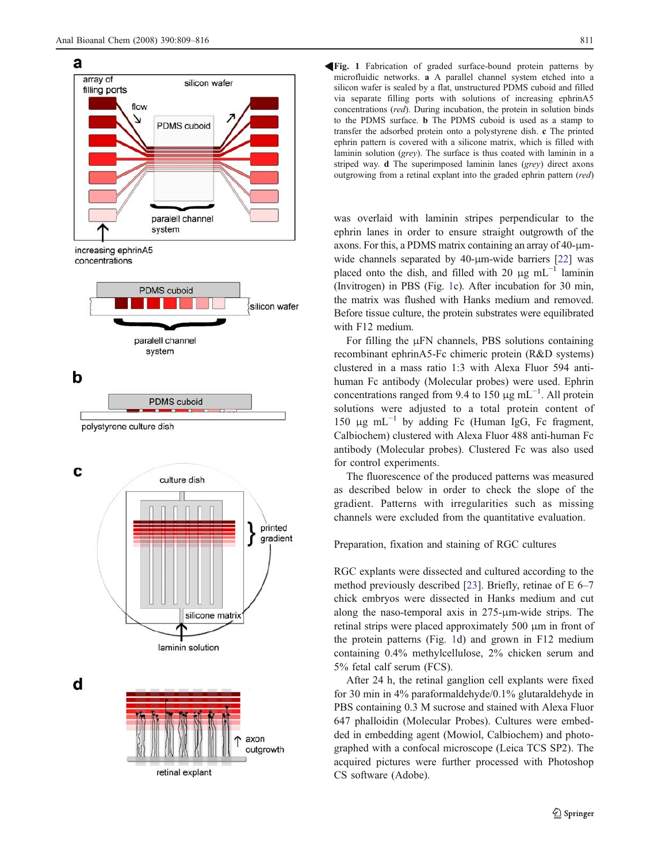<span id="page-2-0"></span>



Fig. 1 Fabrication of graded surface-bound protein patterns by R microfluidic networks. a A parallel channel system etched into a silicon wafer is sealed by a flat, unstructured PDMS cuboid and filled via separate filling ports with solutions of increasing ephrinA5 concentrations (red). During incubation, the protein in solution binds to the PDMS surface. b The PDMS cuboid is used as a stamp to transfer the adsorbed protein onto a polystyrene dish. c The printed ephrin pattern is covered with a silicone matrix, which is filled with laminin solution (grey). The surface is thus coated with laminin in a striped way. d The superimposed laminin lanes (grey) direct axons outgrowing from a retinal explant into the graded ephrin pattern (red)

was overlaid with laminin stripes perpendicular to the ephrin lanes in order to ensure straight outgrowth of the axons. For this, a PDMS matrix containing an array of 40-μmwide channels separated by 40-μm-wide barriers [\[22](#page-7-0)] was placed onto the dish, and filled with 20 μg mL<sup>-1</sup> laminin (Invitrogen) in PBS (Fig. 1c). After incubation for 30 min, the matrix was flushed with Hanks medium and removed. Before tissue culture, the protein substrates were equilibrated with F12 medium.

For filling the μFN channels, PBS solutions containing recombinant ephrinA5-Fc chimeric protein (R&D systems) clustered in a mass ratio 1:3 with Alexa Fluor 594 antihuman Fc antibody (Molecular probes) were used. Ephrin concentrations ranged from 9.4 to 150  $\mu$ g mL<sup>-1</sup>. All protein solutions were adjusted to a total protein content of 150 μg mL<sup>-1</sup> by adding Fc (Human IgG, Fc fragment, Calbiochem) clustered with Alexa Fluor 488 anti-human Fc antibody (Molecular probes). Clustered Fc was also used for control experiments.

The fluorescence of the produced patterns was measured as described below in order to check the slope of the gradient. Patterns with irregularities such as missing channels were excluded from the quantitative evaluation.

# Preparation, fixation and staining of RGC cultures

RGC explants were dissected and cultured according to the method previously described [[23\]](#page-7-0). Briefly, retinae of E 6–7 chick embryos were dissected in Hanks medium and cut along the naso-temporal axis in 275-μm-wide strips. The retinal strips were placed approximately 500 μm in front of the protein patterns (Fig. 1d) and grown in F12 medium containing 0.4% methylcellulose, 2% chicken serum and 5% fetal calf serum (FCS).

After 24 h, the retinal ganglion cell explants were fixed for 30 min in 4% paraformaldehyde/0.1% glutaraldehyde in PBS containing 0.3 M sucrose and stained with Alexa Fluor 647 phalloidin (Molecular Probes). Cultures were embedded in embedding agent (Mowiol, Calbiochem) and photographed with a confocal microscope (Leica TCS SP2). The acquired pictures were further processed with Photoshop CS software (Adobe).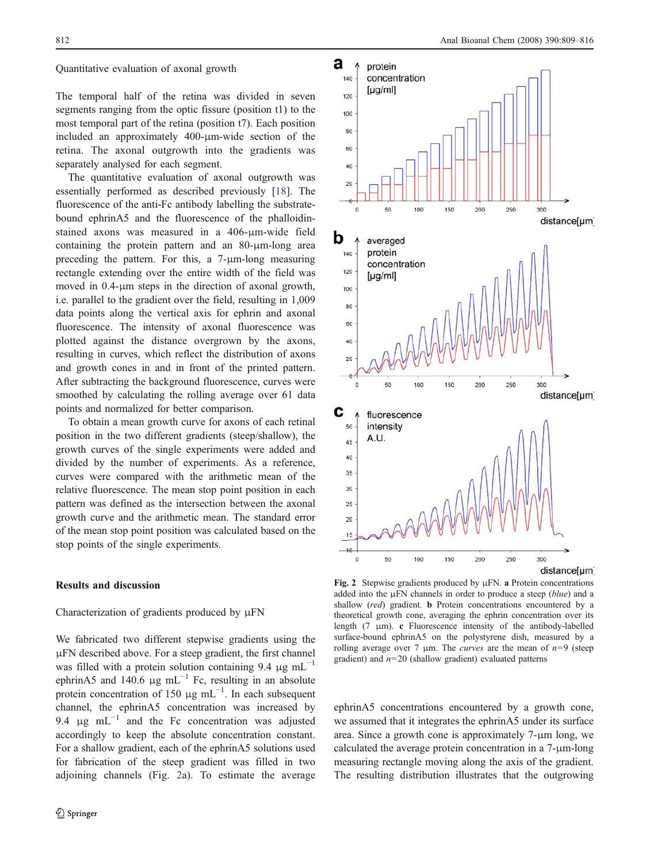#### <span id="page-3-0"></span>Quantitative evaluation of axonal growth

The temporal half of the retina was divided in seven segments ranging from the optic fissure (position t1) to the most temporal part of the retina (position t7). Each position included an approximately 400-μm-wide section of the retina. The axonal outgrowth into the gradients was separately analysed for each segment.

The quantitative evaluation of axonal outgrowth was essentially performed as described previously [[18](#page-7-0)]. The fluorescence of the anti-Fc antibody labelling the substratebound ephrinA5 and the fluorescence of the phalloidinstained axons was measured in a 406-μm-wide field containing the protein pattern and an 80-μm-long area preceding the pattern. For this, a 7-μm-long measuring rectangle extending over the entire width of the field was moved in 0.4-μm steps in the direction of axonal growth, i.e. parallel to the gradient over the field, resulting in 1,009 data points along the vertical axis for ephrin and axonal fluorescence. The intensity of axonal fluorescence was plotted against the distance overgrown by the axons, resulting in curves, which reflect the distribution of axons and growth cones in and in front of the printed pattern. After subtracting the background fluorescence, curves were smoothed by calculating the rolling average over 61 data points and normalized for better comparison.

To obtain a mean growth curve for axons of each retinal position in the two different gradients (steep/shallow), the growth curves of the single experiments were added and divided by the number of experiments. As a reference, curves were compared with the arithmetic mean of the relative fluorescence. The mean stop point position in each pattern was defined as the intersection between the axonal growth curve and the arithmetic mean. The standard error of the mean stop point position was calculated based on the stop points of the single experiments.

## Results and discussion

## Characterization of gradients produced by μFN

We fabricated two different stepwise gradients using the μFN described above. For a steep gradient, the first channel was filled with a protein solution containing 9.4  $\mu$ g mL<sup>-1</sup> ephrinA5 and 140.6  $\mu$ g mL<sup>-1</sup> Fc, resulting in an absolute protein concentration of 150  $\mu$ g mL<sup>-1</sup>. In each subsequent channel, the ephrinA5 concentration was increased by 9.4  $\mu$ g mL<sup>-1</sup> and the Fc concentration was adjusted accordingly to keep the absolute concentration constant. For a shallow gradient, each of the ephrinA5 solutions used for fabrication of the steep gradient was filled in two adjoining channels (Fig. 2a). To estimate the average



Fig. 2 Stepwise gradients produced by μFN. a Protein concentrations added into the  $\mu$ FN channels in order to produce a steep ( $blue$ ) and a shallow (red) gradient. **b** Protein concentrations encountered by a theoretical growth cone, averaging the ephrin concentration over its length (7 μm). c Fluorescence intensity of the antibody-labelled surface-bound ephrinA5 on the polystyrene dish, measured by a rolling average over 7  $\mu$ m. The *curves* are the mean of  $n=9$  (steep gradient) and  $n=20$  (shallow gradient) evaluated patterns

ephrinA5 concentrations encountered by a growth cone, we assumed that it integrates the ephrinA5 under its surface area. Since a growth cone is approximately 7-μm long, we calculated the average protein concentration in a 7-μm-long measuring rectangle moving along the axis of the gradient. The resulting distribution illustrates that the outgrowing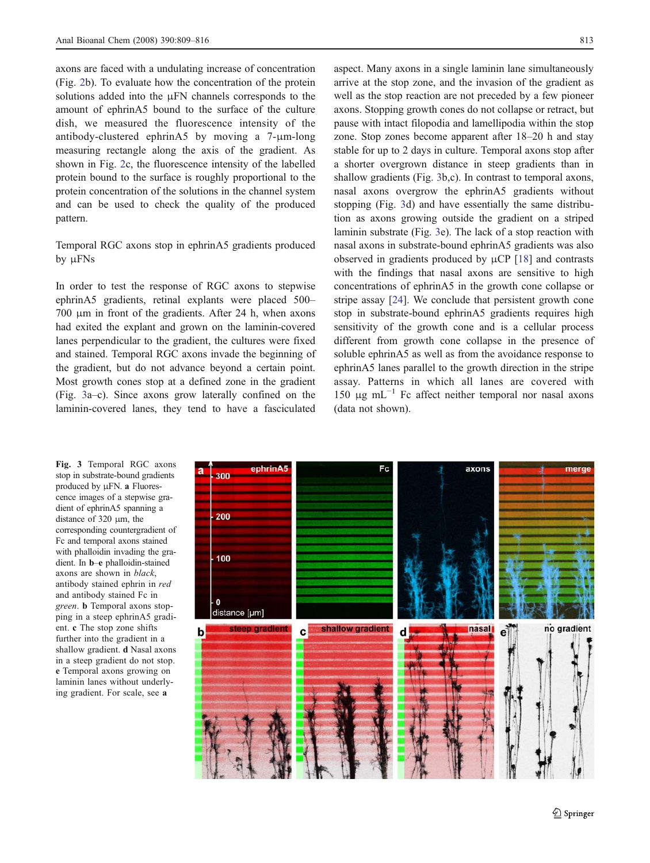axons are faced with a undulating increase of concentration (Fig. [2](#page-3-0)b). To evaluate how the concentration of the protein solutions added into the μFN channels corresponds to the amount of ephrinA5 bound to the surface of the culture dish, we measured the fluorescence intensity of the antibody-clustered ephrinA5 by moving a 7-μm-long measuring rectangle along the axis of the gradient. As shown in Fig. [2](#page-3-0)c, the fluorescence intensity of the labelled protein bound to the surface is roughly proportional to the protein concentration of the solutions in the channel system and can be used to check the quality of the produced pattern.

# Temporal RGC axons stop in ephrinA5 gradients produced by μFNs

In order to test the response of RGC axons to stepwise ephrinA5 gradients, retinal explants were placed 500– 700 μm in front of the gradients. After 24 h, when axons had exited the explant and grown on the laminin-covered lanes perpendicular to the gradient, the cultures were fixed and stained. Temporal RGC axons invade the beginning of the gradient, but do not advance beyond a certain point. Most growth cones stop at a defined zone in the gradient (Fig. 3a–c). Since axons grow laterally confined on the laminin-covered lanes, they tend to have a fasciculated

aspect. Many axons in a single laminin lane simultaneously arrive at the stop zone, and the invasion of the gradient as well as the stop reaction are not preceded by a few pioneer axons. Stopping growth cones do not collapse or retract, but pause with intact filopodia and lamellipodia within the stop zone. Stop zones become apparent after 18–20 h and stay stable for up to 2 days in culture. Temporal axons stop after a shorter overgrown distance in steep gradients than in shallow gradients (Fig. 3b,c). In contrast to temporal axons, nasal axons overgrow the ephrinA5 gradients without stopping (Fig. 3d) and have essentially the same distribution as axons growing outside the gradient on a striped laminin substrate (Fig. 3e). The lack of a stop reaction with nasal axons in substrate-bound ephrinA5 gradients was also observed in gradients produced by μCP [[18\]](#page-7-0) and contrasts with the findings that nasal axons are sensitive to high concentrations of ephrinA5 in the growth cone collapse or stripe assay [[24\]](#page-7-0). We conclude that persistent growth cone stop in substrate-bound ephrinA5 gradients requires high sensitivity of the growth cone and is a cellular process different from growth cone collapse in the presence of soluble ephrin $A$ 5 as well as from the avoidance response to ephrinA5 lanes parallel to the growth direction in the stripe assay. Patterns in which all lanes are covered with 150 μg mL $^{-1}$  Fc affect neither temporal nor nasal axons (data not shown).

Fig. 3 Temporal RGC axons stop in substrate-bound gradients produced by μFN. a Fluorescence images of a stepwise gradient of ephrinA5 spanning a distance of 320 μm, the corresponding countergradient of Fc and temporal axons stained with phalloidin invading the gradient. In b–e phalloidin-stained axons are shown in black, antibody stained ephrin in red and antibody stained Fc in green. b Temporal axons stopping in a steep ephrinA5 gradient. c The stop zone shifts further into the gradient in a shallow gradient. d Nasal axons in a steep gradient do not stop. e Temporal axons growing on laminin lanes without underlying gradient. For scale, see a

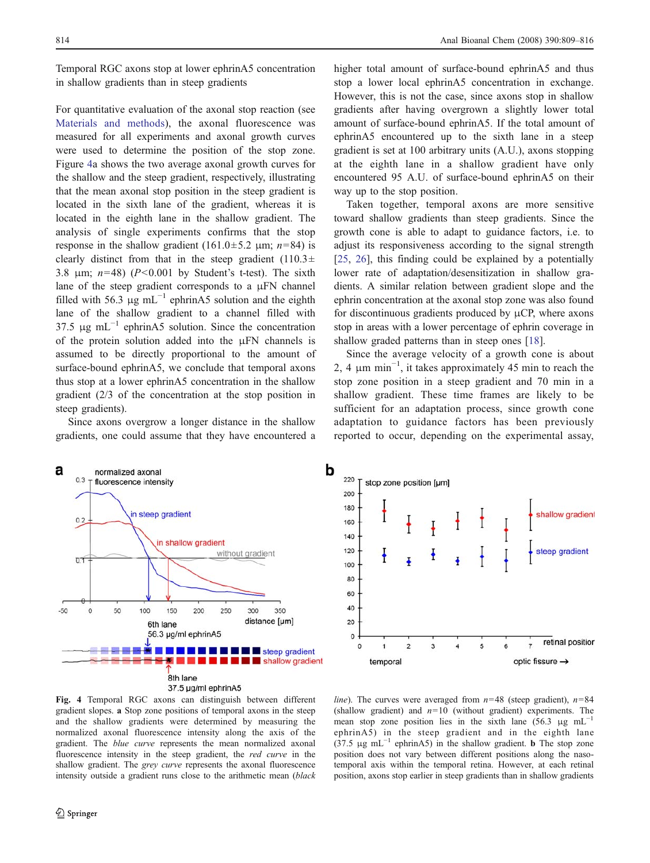<span id="page-5-0"></span>Temporal RGC axons stop at lower ephrinA5 concentration in shallow gradients than in steep gradients

For quantitative evaluation of the axonal stop reaction (see [Materials and methods](#page-1-0)), the axonal fluorescence was measured for all experiments and axonal growth curves were used to determine the position of the stop zone. Figure 4a shows the two average axonal growth curves for the shallow and the steep gradient, respectively, illustrating that the mean axonal stop position in the steep gradient is located in the sixth lane of the gradient, whereas it is located in the eighth lane in the shallow gradient. The analysis of single experiments confirms that the stop response in the shallow gradient (161.0 $\pm$ 5.2 μm; n=84) is clearly distinct from that in the steep gradient  $(110.3\pm$ 3.8  $\mu$ m;  $n=48$ ) ( $P<0.001$  by Student's t-test). The sixth lane of the steep gradient corresponds to a μFN channel filled with 56.3  $\mu$ g mL<sup>-1</sup> ephrinA5 solution and the eighth lane of the shallow gradient to a channel filled with 37.5 μg mL<sup> $-1$ </sup> ephrinA5 solution. Since the concentration of the protein solution added into the μFN channels is assumed to be directly proportional to the amount of surface-bound ephrinA5, we conclude that temporal axons thus stop at a lower ephrinA5 concentration in the shallow gradient (2/3 of the concentration at the stop position in steep gradients).

Since axons overgrow a longer distance in the shallow gradients, one could assume that they have encountered a higher total amount of surface-bound ephrinA5 and thus stop a lower local ephrinA5 concentration in exchange. However, this is not the case, since axons stop in shallow gradients after having overgrown a slightly lower total amount of surface-bound ephrinA5. If the total amount of ephrinA5 encountered up to the sixth lane in a steep gradient is set at 100 arbitrary units (A.U.), axons stopping at the eighth lane in a shallow gradient have only encountered 95 A.U. of surface-bound ephrinA5 on their way up to the stop position.

Taken together, temporal axons are more sensitive toward shallow gradients than steep gradients. Since the growth cone is able to adapt to guidance factors, i.e. to adjust its responsiveness according to the signal strength [\[25](#page-7-0), [26\]](#page-7-0), this finding could be explained by a potentially lower rate of adaptation/desensitization in shallow gradients. A similar relation between gradient slope and the ephrin concentration at the axonal stop zone was also found for discontinuous gradients produced by  $\mu$ CP, where axons stop in areas with a lower percentage of ephrin coverage in shallow graded patterns than in steep ones [\[18](#page-7-0)].

Since the average velocity of a growth cone is about 2, 4 μm min−<sup>1</sup> , it takes approximately 45 min to reach the stop zone position in a steep gradient and 70 min in a shallow gradient. These time frames are likely to be sufficient for an adaptation process, since growth cone adaptation to guidance factors has been previously reported to occur, depending on the experimental assay,





Fig. 4 Temporal RGC axons can distinguish between different gradient slopes. a Stop zone positions of temporal axons in the steep and the shallow gradients were determined by measuring the normalized axonal fluorescence intensity along the axis of the gradient. The blue curve represents the mean normalized axonal fluorescence intensity in the steep gradient, the red curve in the shallow gradient. The *grey curve* represents the axonal fluorescence intensity outside a gradient runs close to the arithmetic mean (black

*line*). The curves were averaged from  $n=48$  (steep gradient),  $n=84$ (shallow gradient) and  $n=10$  (without gradient) experiments. The mean stop zone position lies in the sixth lane (56.3 μg mL<sup>-1</sup> ephrinA5) in the steep gradient and in the eighth lane (37.5  $\mu$ g mL<sup>-1</sup> ephrinA5) in the shallow gradient. **b** The stop zone position does not vary between different positions along the nasotemporal axis within the temporal retina. However, at each retinal position, axons stop earlier in steep gradients than in shallow gradients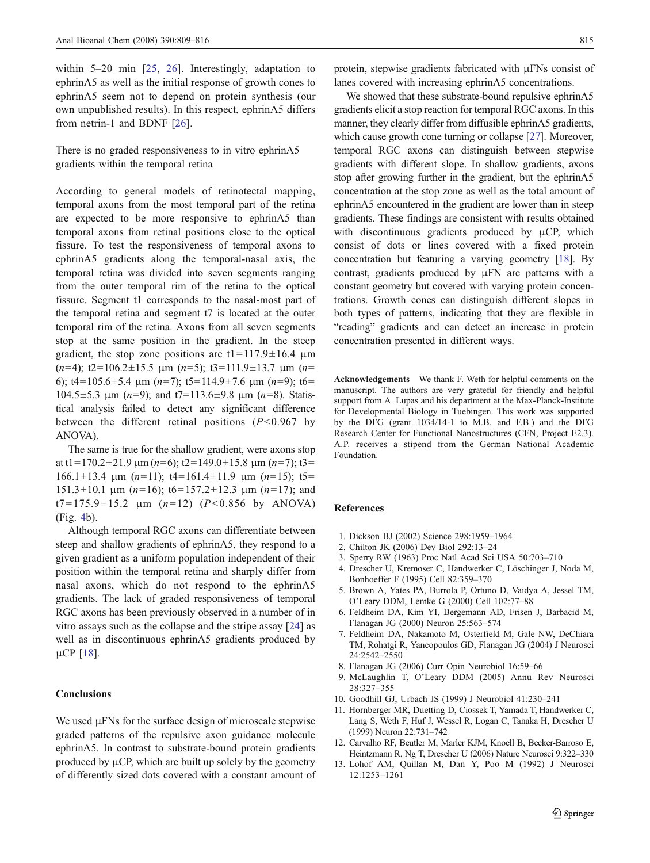<span id="page-6-0"></span>within 5–20 min [[25](#page-7-0), [26\]](#page-7-0). Interestingly, adaptation to ephrinA5 as well as the initial response of growth cones to ephrinA5 seem not to depend on protein synthesis (our own unpublished results). In this respect, ephrinA5 differs from netrin-1 and BDNF [[26\]](#page-7-0).

There is no graded responsiveness to in vitro ephrinA5 gradients within the temporal retina

According to general models of retinotectal mapping, temporal axons from the most temporal part of the retina are expected to be more responsive to ephrinA5 than temporal axons from retinal positions close to the optical fissure. To test the responsiveness of temporal axons to ephrinA5 gradients along the temporal-nasal axis, the temporal retina was divided into seven segments ranging from the outer temporal rim of the retina to the optical fissure. Segment t1 corresponds to the nasal-most part of the temporal retina and segment t7 is located at the outer temporal rim of the retina. Axons from all seven segments stop at the same position in the gradient. In the steep gradient, the stop zone positions are  $t1=117.9\pm16.4$  μm (n=4); t2=106.2±15.5  $\mu$ m (n=5); t3=111.9±13.7  $\mu$ m (n= 6);  $t4=105.6\pm5.4 \text{ }\mu\text{m}$  ( $n=7$ );  $t5=114.9\pm7.6 \text{ }\mu\text{m}$  ( $n=9$ );  $t6=$ 104.5±5.3 μm (n=9); and t7=113.6±9.8 μm (n=8). Statistical analysis failed to detect any significant difference between the different retinal positions  $(P<0.967$  by ANOVA).

The same is true for the shallow gradient, were axons stop at t1=170.2 $\pm$ 21.9 μm (n=6); t2=149.0 $\pm$ 15.8 μm (n=7); t3= 166.1±13.4 μm (n=11); t4=161.4±11.9 μm (n=15); t5=  $151.3 \pm 10.1$  μm  $(n=16)$ ; t6=157.2 $\pm$ 12.3 μm  $(n=17)$ ; and t7=175.9 $\pm$ 15.2  $\mu$ m (n=12) (P<0.856 by ANOVA) (Fig. [4b](#page-5-0)).

Although temporal RGC axons can differentiate between steep and shallow gradients of ephrinA5, they respond to a given gradient as a uniform population independent of their position within the temporal retina and sharply differ from nasal axons, which do not respond to the ephrinA5 gradients. The lack of graded responsiveness of temporal RGC axons has been previously observed in a number of in vitro assays such as the collapse and the stripe assay [\[24](#page-7-0)] as well as in discontinuous ephrinA5 gradients produced by μCP [[18\]](#page-7-0).

# **Conclusions**

We used μFNs for the surface design of microscale stepwise graded patterns of the repulsive axon guidance molecule ephrinA5. In contrast to substrate-bound protein gradients produced by  $\mu$ CP, which are built up solely by the geometry of differently sized dots covered with a constant amount of

protein, stepwise gradients fabricated with μFNs consist of lanes covered with increasing ephrinA5 concentrations.

We showed that these substrate-bound repulsive ephrinA5 gradients elicit a stop reaction for temporal RGC axons. In this manner, they clearly differ from diffusible ephrinA5 gradients, which cause growth cone turning or collapse [\[27](#page-7-0)]. Moreover, temporal RGC axons can distinguish between stepwise gradients with different slope. In shallow gradients, axons stop after growing further in the gradient, but the ephrinA5 concentration at the stop zone as well as the total amount of ephrinA5 encountered in the gradient are lower than in steep gradients. These findings are consistent with results obtained with discontinuous gradients produced by  $\mu CP$ , which consist of dots or lines covered with a fixed protein concentration but featuring a varying geometry [\[18\]](#page-7-0). By contrast, gradients produced by μFN are patterns with a constant geometry but covered with varying protein concentrations. Growth cones can distinguish different slopes in both types of patterns, indicating that they are flexible in "reading" gradients and can detect an increase in protein concentration presented in different ways.

Acknowledgements We thank F. Weth for helpful comments on the manuscript. The authors are very grateful for friendly and helpful support from A. Lupas and his department at the Max-Planck-Institute for Developmental Biology in Tuebingen. This work was supported by the DFG (grant 1034/14-1 to M.B. and F.B.) and the DFG Research Center for Functional Nanostructures (CFN, Project E2.3). A.P. receives a stipend from the German National Academic Foundation.

#### References

- 1. Dickson BJ (2002) Science 298:1959–1964
- 2. Chilton JK (2006) Dev Biol 292:13–24
- 3. Sperry RW (1963) Proc Natl Acad Sci USA 50:703–710
- 4. Drescher U, Kremoser C, Handwerker C, Löschinger J, Noda M, Bonhoeffer F (1995) Cell 82:359–370
- 5. Brown A, Yates PA, Burrola P, Ortuno D, Vaidya A, Jessel TM, O'Leary DDM, Lemke G (2000) Cell 102:77–88
- 6. Feldheim DA, Kim YI, Bergemann AD, Frisen J, Barbacid M, Flanagan JG (2000) Neuron 25:563–574
- 7. Feldheim DA, Nakamoto M, Osterfield M, Gale NW, DeChiara TM, Rohatgi R, Yancopoulos GD, Flanagan JG (2004) J Neurosci 24:2542–2550
- 8. Flanagan JG (2006) Curr Opin Neurobiol 16:59–66
- 9. McLaughlin T, O'Leary DDM (2005) Annu Rev Neurosci 28:327–355
- 10. Goodhill GJ, Urbach JS (1999) J Neurobiol 41:230–241
- 11. Hornberger MR, Duetting D, Ciossek T, Yamada T, Handwerker C, Lang S, Weth F, Huf J, Wessel R, Logan C, Tanaka H, Drescher U (1999) Neuron 22:731–742
- 12. Carvalho RF, Beutler M, Marler KJM, Knoell B, Becker-Barroso E, Heintzmann R, Ng T, Drescher U (2006) Nature Neurosci 9:322–330
- 13. Lohof AM, Quillan M, Dan Y, Poo M (1992) J Neurosci 12:1253–1261